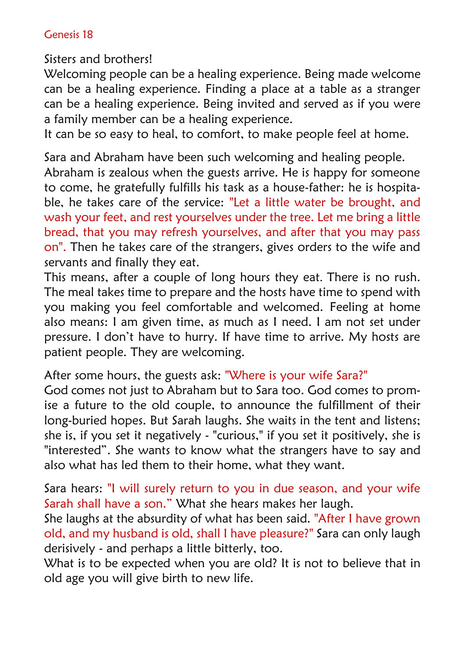## Genesis 18

Sisters and brothers!

Welcoming people can be a healing experience. Being made welcome can be a healing experience. Finding a place at a table as a stranger can be a healing experience. Being invited and served as if you were a family member can be a healing experience.

It can be so easy to heal, to comfort, to make people feel at home.

Sara and Abraham have been such welcoming and healing people. Abraham is zealous when the guests arrive. He is happy for someone to come, he gratefully fulfills his task as a house-father: he is hospitable, he takes care of the service: "Let a little water be brought, and wash your feet, and rest yourselves under the tree. Let me bring a little bread, that you may refresh yourselves, and after that you may pass on". Then he takes care of the strangers, gives orders to the wife and servants and finally they eat.

This means, after a couple of long hours they eat. There is no rush. The meal takes time to prepare and the hosts have time to spend with you making you feel comfortable and welcomed. Feeling at home also means: I am given time, as much as I need. I am not set under pressure. I don't have to hurry. If have time to arrive. My hosts are patient people. They are welcoming.

After some hours, the guests ask: "Where is your wife Sara?"

God comes not just to Abraham but to Sara too. God comes to promise a future to the old couple, to announce the fulfillment of their long-buried hopes. But Sarah laughs. She waits in the tent and listens; she is, if you set it negatively - "curious," if you set it positively, she is "interested". She wants to know what the strangers have to say and also what has led them to their home, what they want.

Sara hears: "I will surely return to you in due season, and your wife Sarah shall have a son." What she hears makes her laugh.

She laughs at the absurdity of what has been said. "After I have grown old, and my husband is old, shall I have pleasure?" Sara can only laugh derisively - and perhaps a little bitterly, too.

What is to be expected when you are old? It is not to believe that in old age you will give birth to new life.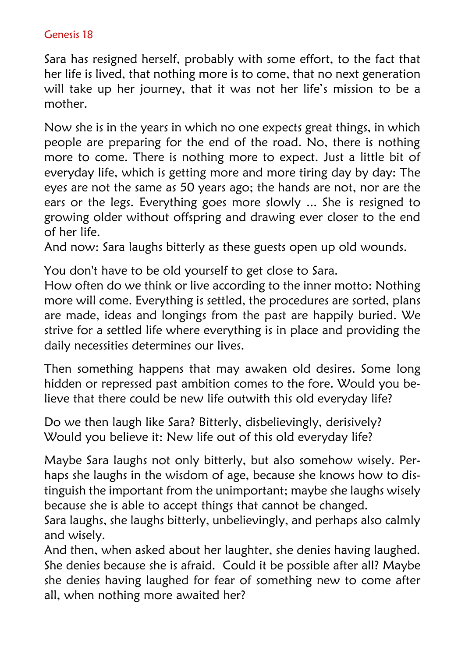## Genesis 18

Sara has resigned herself, probably with some effort, to the fact that her life is lived, that nothing more is to come, that no next generation will take up her journey, that it was not her life's mission to be a mother.

Now she is in the years in which no one expects great things, in which people are preparing for the end of the road. No, there is nothing more to come. There is nothing more to expect. Just a little bit of everyday life, which is getting more and more tiring day by day: The eyes are not the same as 50 years ago; the hands are not, nor are the ears or the legs. Everything goes more slowly ... She is resigned to growing older without offspring and drawing ever closer to the end of her life.

And now: Sara laughs bitterly as these guests open up old wounds.

You don't have to be old yourself to get close to Sara.

How often do we think or live according to the inner motto: Nothing more will come. Everything is settled, the procedures are sorted, plans are made, ideas and longings from the past are happily buried. We strive for a settled life where everything is in place and providing the daily necessities determines our lives.

Then something happens that may awaken old desires. Some long hidden or repressed past ambition comes to the fore. Would you believe that there could be new life outwith this old everyday life?

Do we then laugh like Sara? Bitterly, disbelievingly, derisively? Would you believe it: New life out of this old everyday life?

Maybe Sara laughs not only bitterly, but also somehow wisely. Perhaps she laughs in the wisdom of age, because she knows how to distinguish the important from the unimportant; maybe she laughs wisely because she is able to accept things that cannot be changed.

Sara laughs, she laughs bitterly, unbelievingly, and perhaps also calmly and wisely.

And then, when asked about her laughter, she denies having laughed. She denies because she is afraid. Could it be possible after all? Maybe she denies having laughed for fear of something new to come after all, when nothing more awaited her?